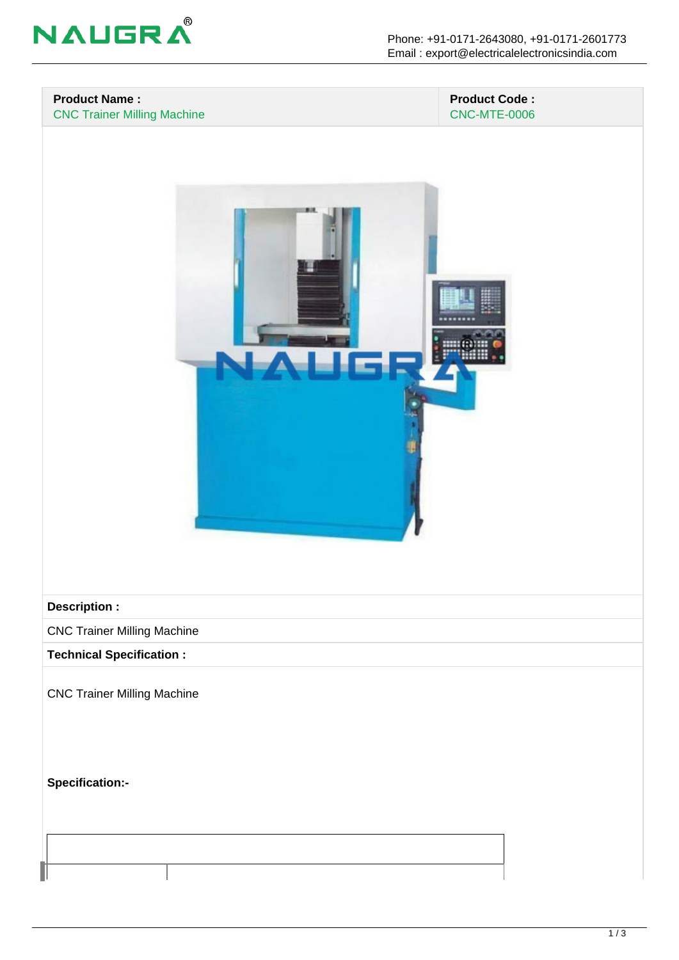

## **Product Name :** CNC Trainer Milling Machine

## **Product Code :** CNC-MTE-0006



## **Description :**

CNC Trainer Milling Machine

**Technical Specification :**

CNC Trainer Milling Machine

**Specification:-**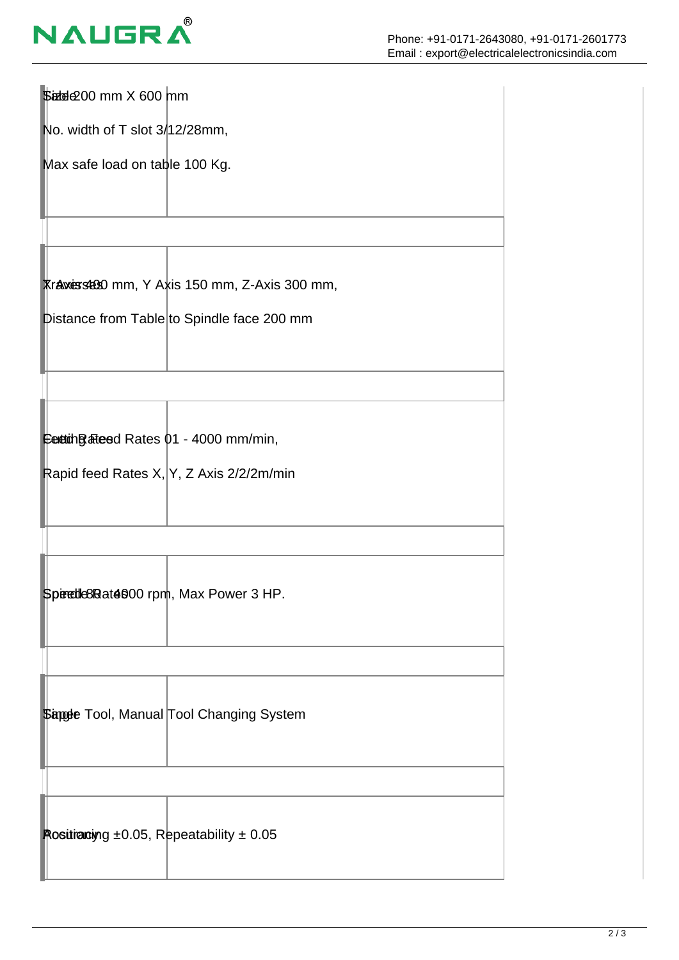

| \$adde200 mm X 600 mm                               |                                                       |
|-----------------------------------------------------|-------------------------------------------------------|
| No. width of T slot 3/12/28mm,                      |                                                       |
| Max safe load on table 100 Kg.                      |                                                       |
|                                                     |                                                       |
|                                                     | <b>Traxis stato</b> mm, Y Axis 150 mm, Z-Axis 300 mm, |
|                                                     | pistance from Table to Spindle face 200 mm            |
|                                                     |                                                       |
| Cettion Balles dRates 01 - 4000 mm/min,             |                                                       |
| Rapid feed Rates X, Y, Z Axis 2/2/2m/min            |                                                       |
|                                                     |                                                       |
| Speedle8Rat4000 rpm, Max Power 3 HP.                |                                                       |
|                                                     |                                                       |
|                                                     | <b>\$angle Tool, Manual Tool Changing System</b>      |
|                                                     |                                                       |
| Rositianoiyng $\pm 0.05$ , Repeatability $\pm 0.05$ |                                                       |